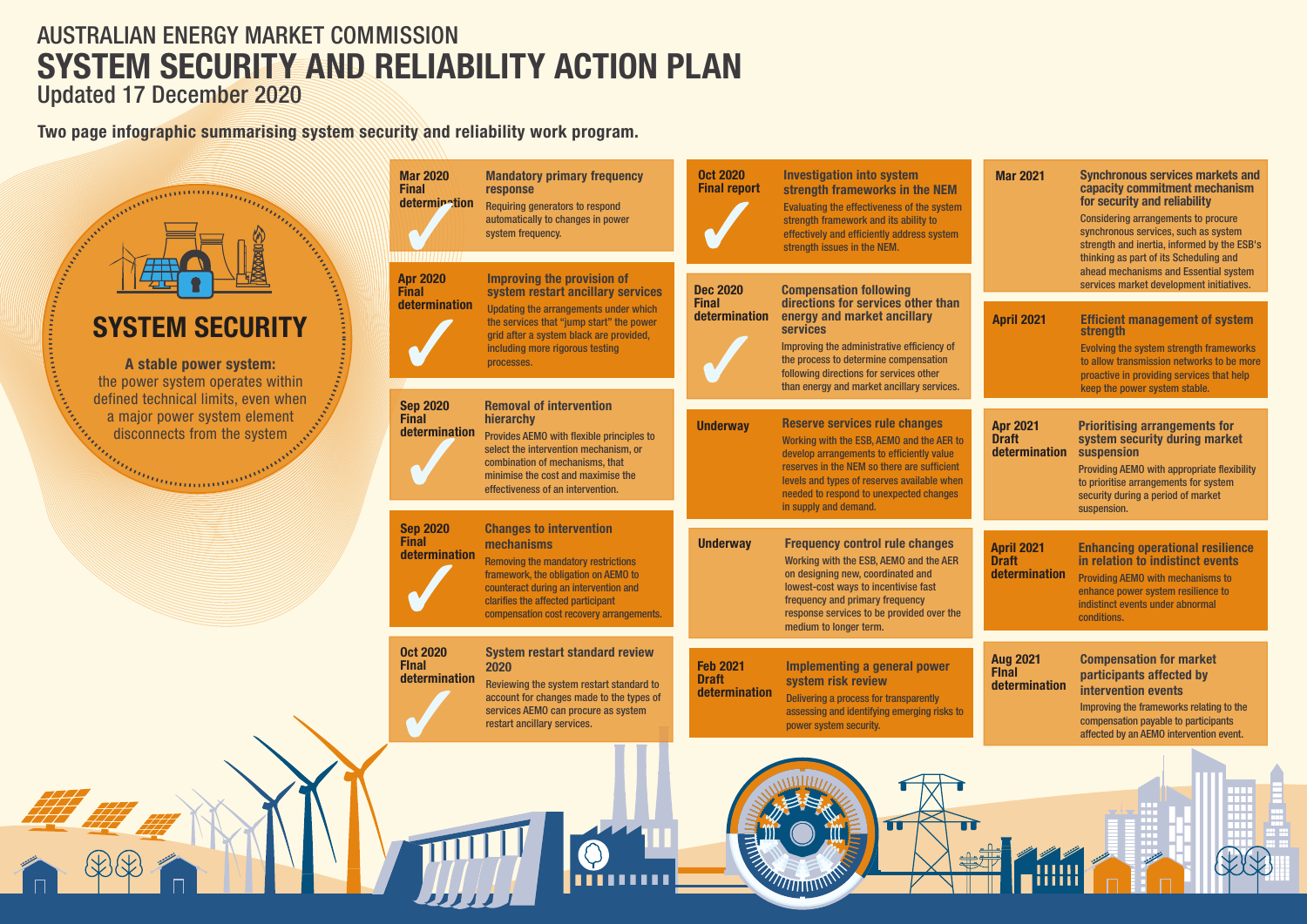**A stable power system:**  the power system operates with defined technical limits, even w a major power system eleme<br>disconnects from the system<br> $\frac{d}{dt}$ disconnects from the syster

# AUSTRALIAN ENERGY MARKET COMMISSION Updated 17 December 2020 **SYSTEM SECURITY AND RELIABILITY ACTION PLAN**

**Two page infographic summarising system security and reliability work program.**

# **SYSTEM SECURIT**

**Continued in the Continued of the Continued State** 

**ALLEGATION** 

| <b>Mar 2021</b>                                    | <b>Synchronous services markets and</b><br>capacity commitment mechanism<br>for security and reliability<br><b>Considering arrangements to procure</b><br>synchronous services, such as system<br>strength and inertia, informed by the ESB's<br>thinking as part of its Scheduling and<br>ahead mechanisms and Essential system<br>services market development initiatives. |  |
|----------------------------------------------------|------------------------------------------------------------------------------------------------------------------------------------------------------------------------------------------------------------------------------------------------------------------------------------------------------------------------------------------------------------------------------|--|
| <b>April 2021</b>                                  | <b>Efficient management of system</b><br><b>strength</b><br><b>Evolving the system strength frameworks</b><br>to allow transmission networks to be more<br>proactive in providing services that help<br>keep the power system stable.                                                                                                                                        |  |
| <b>Apr 2021</b><br><b>Draft</b><br>determination   | <b>Prioritising arrangements for</b><br>system security during market<br>suspension<br><b>Providing AEMO with appropriate flexibility</b><br>to prioritise arrangements for system<br>security during a period of market<br>suspension.                                                                                                                                      |  |
| <b>April 2021</b><br><b>Draft</b><br>determination | <b>Enhancing operational resilience</b><br>in relation to indistinct events<br><b>Providing AEMO with mechanisms to</b><br>enhance power system resilience to<br>indistinct events under abnormal<br>conditions.                                                                                                                                                             |  |
| <b>Aug 2021</b><br><b>Final</b><br>determination   | <b>Compensation for market</b><br>participants affected by<br><b>intervention events</b><br>Improving the frameworks relating to the<br>compensation payable to participants<br>affected by an AEMO intervention event.                                                                                                                                                      |  |
|                                                    |                                                                                                                                                                                                                                                                                                                                                                              |  |

|                                         | <b>Mar 2020</b><br><b>Final</b><br>determination | <b>Mandatory primary frequency</b><br>response<br><b>Requiring generators to respond</b><br>automatically to changes in power<br>system frequency.                                                                                                            | <b>Oct 2020</b><br><b>Final report</b>           | <b>Investigation into system</b><br>strength frameworks in the NEM<br>Evaluating the effectiveness of the system<br>strength framework and its ability to<br>effectively and efficiently address system<br>strength issues in the NEM.                                                                | <b>Mar 2021</b>                                |
|-----------------------------------------|--------------------------------------------------|---------------------------------------------------------------------------------------------------------------------------------------------------------------------------------------------------------------------------------------------------------------|--------------------------------------------------|-------------------------------------------------------------------------------------------------------------------------------------------------------------------------------------------------------------------------------------------------------------------------------------------------------|------------------------------------------------|
| hin                                     | <b>Apr 2020</b><br><b>Final</b><br>determination | <b>Improving the provision of</b><br>system restart ancillary services<br>Updating the arrangements under which<br>the services that "jump start" the power<br>grid after a system black are provided,<br>including more rigorous testing<br>processes.       | <b>Dec 2020</b><br><b>Final</b><br>determination | <b>Compensation following</b><br>directions for services other than<br>energy and market ancillary<br><b>services</b><br>Improving the administrative efficiency of<br>the process to determine compensation<br>following directions for services other<br>than energy and market ancillary services. | <b>April 2021</b>                              |
| hen<br>$\mathsf{nt}$<br><b>Chairman</b> | <b>Sep 2020</b><br><b>Final</b><br>determination | <b>Removal of intervention</b><br>hierarchy<br>Provides AEMO with flexible principles to<br>select the intervention mechanism, or<br>combination of mechanisms, that<br>minimise the cost and maximise the<br>effectiveness of an intervention.               | <b>Underway</b>                                  | <b>Reserve services rule changes</b><br>Working with the ESB, AEMO and the AER to<br>develop arrangements to efficiently value<br>reserves in the NEM so there are sufficient<br>levels and types of reserves available when<br>needed to respond to unexpected changes<br>in supply and demand.      | <b>Apr 2021</b><br><b>Draft</b><br>determina   |
|                                         | <b>Sep 2020</b><br><b>Final</b><br>determination | <b>Changes to intervention</b><br>mechanisms<br><b>Removing the mandatory restrictions</b><br>framework, the obligation on AEMO to<br>counteract during an intervention and<br>clarifies the affected participant<br>compensation cost recovery arrangements. | <b>Underway</b>                                  | <b>Frequency control rule changes</b><br>Working with the ESB, AEMO and the AER<br>on designing new, coordinated and<br>lowest-cost ways to incentivise fast<br>frequency and primary frequency<br>response services to be provided over the<br>medium to longer term.                                | <b>April 2021</b><br><b>Draft</b><br>determina |
|                                         | <b>Oct 2020</b><br><b>Final</b><br>determination | <b>System restart standard review</b><br>2020<br>Reviewing the system restart standard to<br>account for changes made to the types of<br>services AEMO can procure as system<br>restart ancillary services.                                                   | <b>Feb 2021</b><br><b>Draft</b><br>determination | <b>Implementing a general power</b><br>system risk review<br>Delivering a process for transparently<br>assessing and identifying emerging risks to<br>power system security.                                                                                                                          | <b>Aug 2021</b><br><b>Final</b><br>determina   |
|                                         |                                                  |                                                                                                                                                                                                                                                               |                                                  |                                                                                                                                                                                                                                                                                                       |                                                |

*MITHITITITITI*